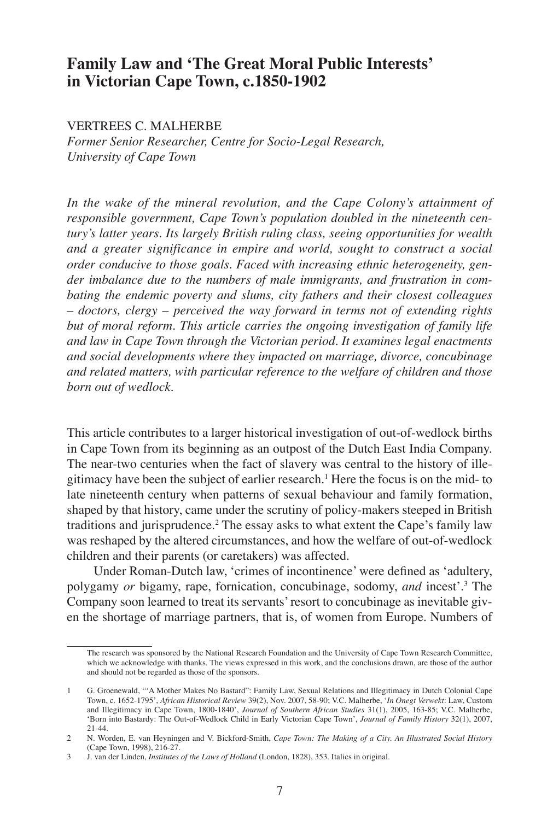# **Family Law and 'The Great Moral Public Interests' in Victorian Cape Town, c.1850-1902**

## VERTREES C. MALHERBE

*Former Senior Researcher, Centre for Socio-Legal Research, University of Cape Town*

*In the wake of the mineral revolution, and the Cape Colony's attainment of responsible government, Cape Town's population doubled in the nineteenth century's latter years. Its largely British ruling class, seeing opportunities for wealth and a greater significance in empire and world, sought to construct a social order conducive to those goals. Faced with increasing ethnic heterogeneity, gender imbalance due to the numbers of male immigrants, and frustration in combating the endemic poverty and slums, city fathers and their closest colleagues – doctors, clergy – perceived the way forward in terms not of extending rights but of moral reform. This article carries the ongoing investigation of family life and law in Cape Town through the Victorian period. It examines legal enactments and social developments where they impacted on marriage, divorce, concubinage and related matters, with particular reference to the welfare of children and those born out of wedlock.* 

This article contributes to a larger historical investigation of out-of-wedlock births in Cape Town from its beginning as an outpost of the Dutch East India Company. The near-two centuries when the fact of slavery was central to the history of illegitimacy have been the subject of earlier research.1 Here the focus is on the mid- to late nineteenth century when patterns of sexual behaviour and family formation, shaped by that history, came under the scrutiny of policy-makers steeped in British traditions and jurisprudence.<sup>2</sup> The essay asks to what extent the Cape's family law was reshaped by the altered circumstances, and how the welfare of out-of-wedlock children and their parents (or caretakers) was affected.

Under Roman-Dutch law, 'crimes of incontinence' were defined as 'adultery, polygamy *or* bigamy, rape, fornication, concubinage, sodomy, *and* incest'.<sup>3</sup> The Company soon learned to treat its servants' resort to concubinage as inevitable given the shortage of marriage partners, that is, of women from Europe. Numbers of

The research was sponsored by the National Research Foundation and the University of Cape Town Research Committee, which we acknowledge with thanks. The views expressed in this work, and the conclusions drawn, are those of the author and should not be regarded as those of the sponsors.

<sup>1</sup> G. Groenewald, '"A Mother Makes No Bastard": Family Law, Sexual Relations and Illegitimacy in Dutch Colonial Cape Town, c. 1652-1795', *African Historical Review* 39(2), Nov. 2007, 58-90; V.C. Malherbe, '*In Onegt Verwekt*: Law, Custom and Illegitimacy in Cape Town, 1800-1840', *Journal of Southern African Studies* 31(1), 2005, 163-85; V.C. Malherbe, 'Born into Bastardy: The Out-of-Wedlock Child in Early Victorian Cape Town', *Journal of Family History* 32(1), 2007, 21-44.

<sup>2</sup> N. Worden, E. van Heyningen and V. Bickford-Smith, *Cape Town: The Making of a City. An Illustrated Social History* (Cape Town, 1998), 216-27.

<sup>3</sup> J. van der Linden, *Institutes of the Laws of Holland* (London, 1828), 353. Italics in original.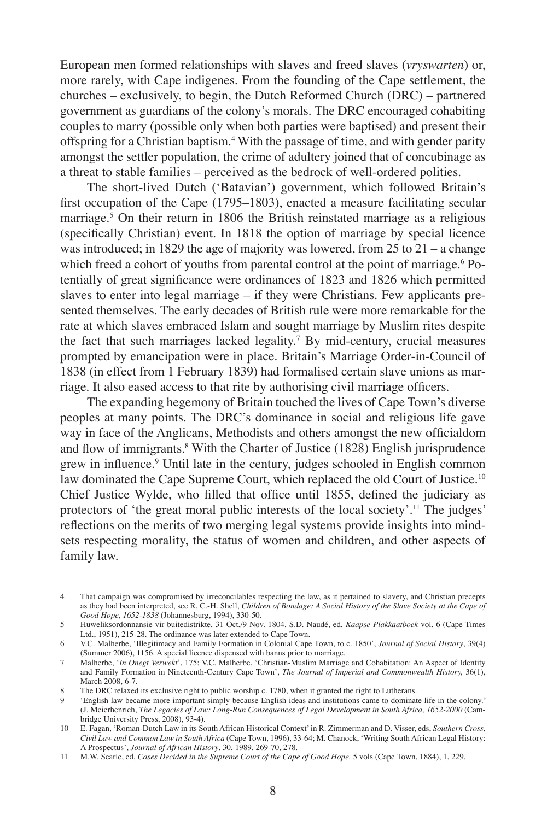European men formed relationships with slaves and freed slaves (*vryswarten*) or, more rarely, with Cape indigenes. From the founding of the Cape settlement, the churches – exclusively, to begin, the Dutch Reformed Church (DRC) – partnered government as guardians of the colony's morals. The DRC encouraged cohabiting couples to marry (possible only when both parties were baptised) and present their offspring for a Christian baptism.4 With the passage of time, and with gender parity amongst the settler population, the crime of adultery joined that of concubinage as a threat to stable families – perceived as the bedrock of well-ordered polities.

The short-lived Dutch ('Batavian') government, which followed Britain's first occupation of the Cape (1795–1803), enacted a measure facilitating secular marriage.5 On their return in 1806 the British reinstated marriage as a religious (specifically Christian) event. In 1818 the option of marriage by special licence was introduced; in 1829 the age of majority was lowered, from 25 to  $21 - a$  change which freed a cohort of youths from parental control at the point of marriage.<sup>6</sup> Potentially of great significance were ordinances of 1823 and 1826 which permitted slaves to enter into legal marriage – if they were Christians. Few applicants presented themselves. The early decades of British rule were more remarkable for the rate at which slaves embraced Islam and sought marriage by Muslim rites despite the fact that such marriages lacked legality.<sup>7</sup> By mid-century, crucial measures prompted by emancipation were in place. Britain's Marriage Order-in-Council of 1838 (in effect from 1 February 1839) had formalised certain slave unions as marriage. It also eased access to that rite by authorising civil marriage officers.

The expanding hegemony of Britain touched the lives of Cape Town's diverse peoples at many points. The DRC's dominance in social and religious life gave way in face of the Anglicans, Methodists and others amongst the new officialdom and flow of immigrants.<sup>8</sup> With the Charter of Justice (1828) English jurisprudence grew in influence.<sup>9</sup> Until late in the century, judges schooled in English common law dominated the Cape Supreme Court, which replaced the old Court of Justice.<sup>10</sup> Chief Justice Wylde, who filled that office until 1855, defined the judiciary as protectors of 'the great moral public interests of the local society'.<sup>11</sup> The judges' reflections on the merits of two merging legal systems provide insights into mindsets respecting morality, the status of women and children, and other aspects of family law.

<sup>4</sup> That campaign was compromised by irreconcilables respecting the law, as it pertained to slavery, and Christian precepts as they had been interpreted, see R. C.-H. Shell, *Children of Bondage: A Social History of the Slave Society at the Cape of Good Hope, 1652-1838* (Johannesburg, 1994), 330-50.

<sup>5</sup> Huweliksordonnansie vir buitedistrikte, 31 Oct./9 Nov. 1804, S.D. Naudé, ed, *Kaapse Plakkaatboek* vol. 6 (Cape Times Ltd., 1951), 215-28. The ordinance was later extended to Cape Town.

<sup>6</sup> V.C. Malherbe, 'Illegitimacy and Family Formation in Colonial Cape Town, to c. 1850', *Journal of Social History*, 39(4) (Summer 2006), 1156. A special licence dispensed with banns prior to marriage.

<sup>7</sup> Malherbe, '*In Onegt Verwekt*', 175; V.C. Malherbe, 'Christian-Muslim Marriage and Cohabitation: An Aspect of Identity and Family Formation in Nineteenth-Century Cape Town', *The Journal of Imperial and Commonwealth History,* 36(1), March 2008, 6-7.

<sup>8</sup> The DRC relaxed its exclusive right to public worship c. 1780, when it granted the right to Lutherans.

<sup>9</sup> 'English law became more important simply because English ideas and institutions came to dominate life in the colony.' (J. Meierhenrich, *The Legacies of Law: Long-Run Consequences of Legal Development in South Africa, 1652-2000* (Cambridge University Press, 2008), 93-4).

<sup>10</sup> E. Fagan, 'Roman-Dutch Law in its South African Historical Context' in R. Zimmerman and D. Visser, eds, *Southern Cross, Civil Law and Common Law in South Africa* (Cape Town, 1996), 33-64; M. Chanock, 'Writing South African Legal History: A Prospectus', *Journal of African History*, 30, 1989, 269-70, 278.

<sup>11</sup> M.W. Searle, ed, *Cases Decided in the Supreme Court of the Cape of Good Hope,* 5 vols (Cape Town, 1884), 1, 229.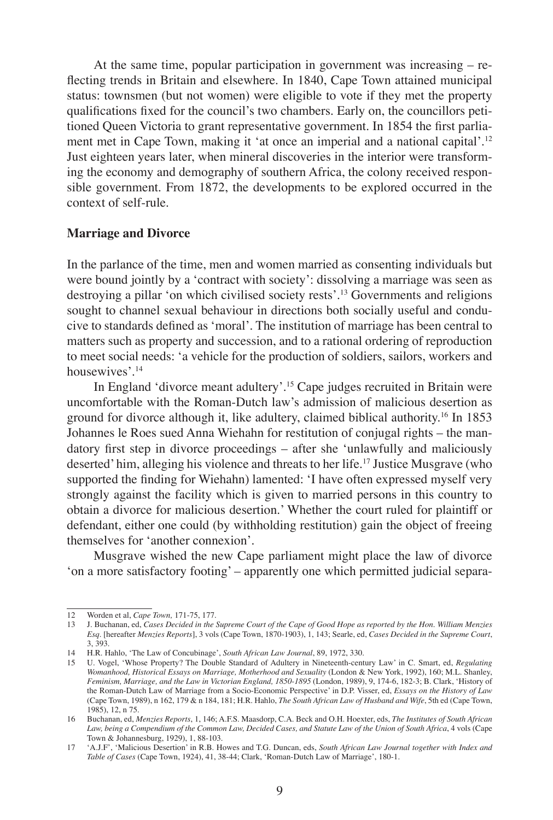At the same time, popular participation in government was increasing – reflecting trends in Britain and elsewhere. In 1840, Cape Town attained municipal status: townsmen (but not women) were eligible to vote if they met the property qualifications fixed for the council's two chambers. Early on, the councillors petitioned Queen Victoria to grant representative government. In 1854 the first parliament met in Cape Town, making it 'at once an imperial and a national capital'.<sup>12</sup> Just eighteen years later, when mineral discoveries in the interior were transforming the economy and demography of southern Africa, the colony received responsible government. From 1872, the developments to be explored occurred in the context of self-rule.

#### **Marriage and Divorce**

In the parlance of the time, men and women married as consenting individuals but were bound jointly by a 'contract with society': dissolving a marriage was seen as destroying a pillar 'on which civilised society rests'.13 Governments and religions sought to channel sexual behaviour in directions both socially useful and conducive to standards defined as 'moral'. The institution of marriage has been central to matters such as property and succession, and to a rational ordering of reproduction to meet social needs: 'a vehicle for the production of soldiers, sailors, workers and housewives'.<sup>14</sup>

In England 'divorce meant adultery'.15 Cape judges recruited in Britain were uncomfortable with the Roman-Dutch law's admission of malicious desertion as ground for divorce although it, like adultery, claimed biblical authority.16 In 1853 Johannes le Roes sued Anna Wiehahn for restitution of conjugal rights – the mandatory first step in divorce proceedings – after she 'unlawfully and maliciously deserted' him, alleging his violence and threats to her life.<sup>17</sup> Justice Musgrave (who supported the finding for Wiehahn) lamented: 'I have often expressed myself very strongly against the facility which is given to married persons in this country to obtain a divorce for malicious desertion.' Whether the court ruled for plaintiff or defendant, either one could (by withholding restitution) gain the object of freeing themselves for 'another connexion'.

Musgrave wished the new Cape parliament might place the law of divorce 'on a more satisfactory footing' – apparently one which permitted judicial separa-

<sup>12</sup> Worden et al, *Cape Town,* 171-75, 177.

<sup>13</sup> J. Buchanan, ed, *Cases Decided in the Supreme Court of the Cape of Good Hope as reported by the Hon. William Menzies Esq.* [hereafter *Menzies Reports*], 3 vols (Cape Town, 1870-1903), 1, 143; Searle, ed, *Cases Decided in the Supreme Court*, 3, 393.

<sup>14</sup> H.R. Hahlo, 'The Law of Concubinage', *South African Law Journal*, 89, 1972, 330.

<sup>15</sup> U. Vogel, 'Whose Property? The Double Standard of Adultery in Nineteenth-century Law' in C. Smart, ed, *Regulating Womanhood, Historical Essays on Marriage, Motherhood and Sexuality* (London & New York, 1992), 160; M.L. Shanley, *Feminism, Marriage, and the Law in Victorian England, 1850-1895* (London, 1989), 9, 174-6, 182-3; B. Clark, 'History of the Roman-Dutch Law of Marriage from a Socio-Economic Perspective' in D.P. Visser, ed, *Essays on the History of Law* (Cape Town, 1989), n 162, 179 & n 184, 181; H.R. Hahlo, *The South African Law of Husband and Wife*, 5th ed (Cape Town, 1985), 12, n 75.

<sup>16</sup> Buchanan, ed, *Menzies Reports*, 1, 146; A.F.S. Maasdorp, C.A. Beck and O.H. Hoexter, eds, *The Institutes of South African Law, being a Compendium of the Common Law, Decided Cases, and Statute Law of the Union of South Africa*, 4 vols (Cape Town & Johannesburg, 1929), 1, 88-103.

<sup>17</sup> 'A.J.F', 'Malicious Desertion' in R.B. Howes and T.G. Duncan, eds, *South African Law Journal together with Index and Table of Cases* (Cape Town, 1924), 41, 38-44; Clark, 'Roman-Dutch Law of Marriage', 180-1.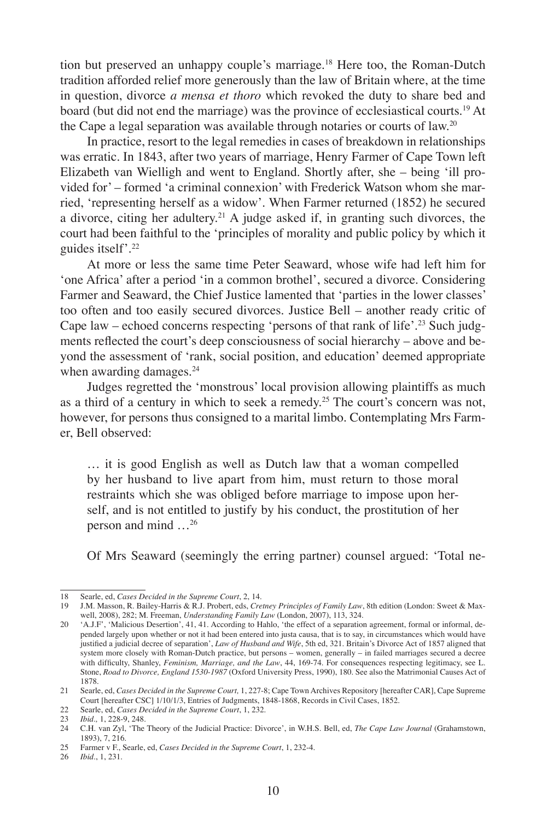tion but preserved an unhappy couple's marriage.<sup>18</sup> Here too, the Roman-Dutch tradition afforded relief more generously than the law of Britain where, at the time in question, divorce *a mensa et thoro* which revoked the duty to share bed and board (but did not end the marriage) was the province of ecclesiastical courts.19 At the Cape a legal separation was available through notaries or courts of law.20

In practice, resort to the legal remedies in cases of breakdown in relationships was erratic. In 1843, after two years of marriage, Henry Farmer of Cape Town left Elizabeth van Wielligh and went to England. Shortly after, she – being 'ill provided for' – formed 'a criminal connexion' with Frederick Watson whom she married, 'representing herself as a widow'. When Farmer returned (1852) he secured a divorce, citing her adultery.21 A judge asked if, in granting such divorces, the court had been faithful to the 'principles of morality and public policy by which it guides itself'.<sup>22</sup>

At more or less the same time Peter Seaward, whose wife had left him for 'one Africa' after a period 'in a common brothel', secured a divorce. Considering Farmer and Seaward, the Chief Justice lamented that 'parties in the lower classes' too often and too easily secured divorces. Justice Bell – another ready critic of Cape law – echoed concerns respecting 'persons of that rank of life'.<sup>23</sup> Such judgments reflected the court's deep consciousness of social hierarchy – above and beyond the assessment of 'rank, social position, and education' deemed appropriate when awarding damages.<sup>24</sup>

Judges regretted the 'monstrous' local provision allowing plaintiffs as much as a third of a century in which to seek a remedy.25 The court's concern was not, however, for persons thus consigned to a marital limbo. Contemplating Mrs Farmer, Bell observed:

… it is good English as well as Dutch law that a woman compelled by her husband to live apart from him, must return to those moral restraints which she was obliged before marriage to impose upon herself, and is not entitled to justify by his conduct, the prostitution of her person and mind …26

Of Mrs Seaward (seemingly the erring partner) counsel argued: 'Total ne-

<sup>18</sup> Searle, ed, *Cases Decided in the Supreme Court*, 2, 14.

<sup>19</sup> J.M. Masson, R. Bailey-Harris & R.J. Probert, eds, *Cretney Principles of Family Law*, 8th edition (London: Sweet & Maxwell, 2008), 282; M. Freeman, *Understanding Family Law* (London, 2007), 113, 324.

<sup>20</sup> 'A.J.F', 'Malicious Desertion', 41, 41. According to Hahlo, 'the effect of a separation agreement, formal or informal, depended largely upon whether or not it had been entered into justa causa, that is to say, in circumstances which would have justified a judicial decree of separation', *Law of Husband and Wife*, 5th ed, 321. Britain's Divorce Act of 1857 aligned that system more closely with Roman-Dutch practice, but persons – women, generally – in failed marriages secured a decree with difficulty, Shanley, *Feminism, Marriage, and the Law*, 44, 169-74. For consequences respecting legitimacy, see L. Stone, *Road to Divorce, England 1530-1987* (Oxford University Press, 1990), 180. See also the Matrimonial Causes Act of 1878.

<sup>21</sup> Searle, ed, *Cases Decided in the Supreme Court,* 1, 227-8; Cape Town Archives Repository [hereafter CAR], Cape Supreme Court [hereafter CSC] 1/10/1/3, Entries of Judgments, 1848-1868, Records in Civil Cases, 1852.

<sup>22</sup> Searle, ed, *Cases Decided in the Supreme Court*, 1, 232.

<sup>23</sup> *Ibid*.*,* 1, 228-9, 248.

<sup>24</sup> C.H. van Zyl, 'The Theory of the Judicial Practice: Divorce', in W.H.S. Bell, ed, *The Cape Law Journal* (Grahamstown, 1893), 7, 216.

<sup>25</sup> Farmer v F., Searle, ed, *Cases Decided in the Supreme Court*, 1, 232-4.

<sup>26</sup> *Ibid.*, 1, 231.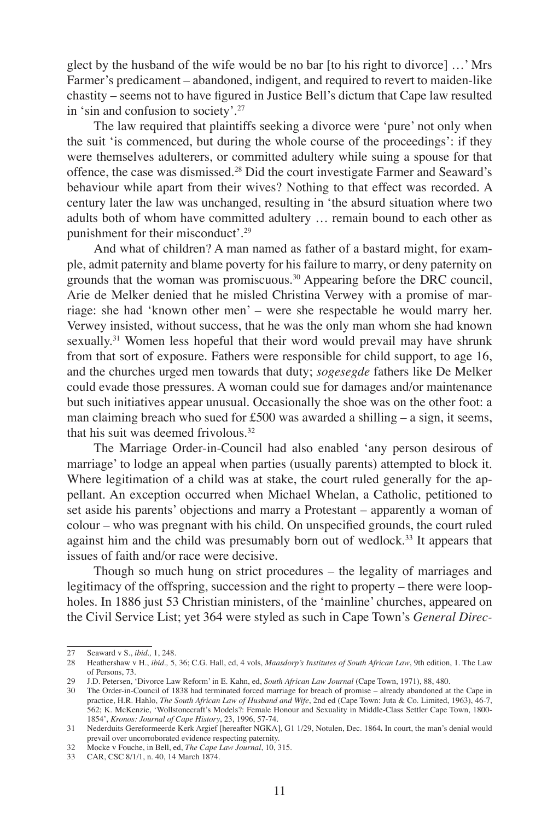glect by the husband of the wife would be no bar [to his right to divorce] …' Mrs Farmer's predicament – abandoned, indigent, and required to revert to maiden-like chastity – seems not to have figured in Justice Bell's dictum that Cape law resulted in 'sin and confusion to society'.<sup>27</sup>

The law required that plaintiffs seeking a divorce were 'pure' not only when the suit 'is commenced, but during the whole course of the proceedings': if they were themselves adulterers, or committed adultery while suing a spouse for that offence, the case was dismissed.28 Did the court investigate Farmer and Seaward's behaviour while apart from their wives? Nothing to that effect was recorded. A century later the law was unchanged, resulting in 'the absurd situation where two adults both of whom have committed adultery … remain bound to each other as punishment for their misconduct'.<sup>29</sup>

And what of children? A man named as father of a bastard might, for example, admit paternity and blame poverty for his failure to marry, or deny paternity on grounds that the woman was promiscuous.30 Appearing before the DRC council, Arie de Melker denied that he misled Christina Verwey with a promise of marriage: she had 'known other men' – were she respectable he would marry her. Verwey insisted, without success, that he was the only man whom she had known sexually.<sup>31</sup> Women less hopeful that their word would prevail may have shrunk from that sort of exposure. Fathers were responsible for child support, to age 16, and the churches urged men towards that duty; *sogesegde* fathers like De Melker could evade those pressures. A woman could sue for damages and/or maintenance but such initiatives appear unusual. Occasionally the shoe was on the other foot: a man claiming breach who sued for £500 was awarded a shilling  $-$  a sign, it seems, that his suit was deemed frivolous. $32$ 

The Marriage Order-in-Council had also enabled 'any person desirous of marriage' to lodge an appeal when parties (usually parents) attempted to block it. Where legitimation of a child was at stake, the court ruled generally for the appellant. An exception occurred when Michael Whelan, a Catholic, petitioned to set aside his parents' objections and marry a Protestant – apparently a woman of colour – who was pregnant with his child. On unspecified grounds, the court ruled against him and the child was presumably born out of wedlock.33 It appears that issues of faith and/or race were decisive.

Though so much hung on strict procedures – the legality of marriages and legitimacy of the offspring, succession and the right to property – there were loopholes. In 1886 just 53 Christian ministers, of the 'mainline' churches, appeared on the Civil Service List; yet 364 were styled as such in Cape Town's *General Direc-*

<sup>27</sup> Seaward v S., *ibid.,* 1, 248.

<sup>28</sup> Heathershaw v H., *ibid.,* 5, 36; C.G. Hall, ed, 4 vols, *Maasdorp's Institutes of South African Law*, 9th edition, 1. The Law of Persons, 73.

<sup>29</sup> J.D. Petersen, 'Divorce Law Reform' in E. Kahn, ed, *South African Law Journal* (Cape Town, 1971), 88, 480.

<sup>30</sup> The Order-in-Council of 1838 had terminated forced marriage for breach of promise – already abandoned at the Cape in practice, H.R. Hahlo, *The South African Law of Husband and Wife*, 2nd ed (Cape Town: Juta & Co. Limited, 1963), 46-7, 562; K. McKenzie, 'Wollstonecraft's Models?: Female Honour and Sexuality in Middle-Class Settler Cape Town, 1800- 1854', *Kronos: Journal of Cape History*, 23, 1996, 57-74.

<sup>31</sup> Nederduits Gereformeerde Kerk Argief [hereafter NGKA], G1 1/29, Notulen, Dec. 1864**.** In court, the man's denial would prevail over uncorroborated evidence respecting paternity. 32 Mocke v Fouche, in Bell, ed, *The Cape Law Journal*, 10, 315.

<sup>33</sup> CAR, CSC 8/1/1, n. 40, 14 March 1874.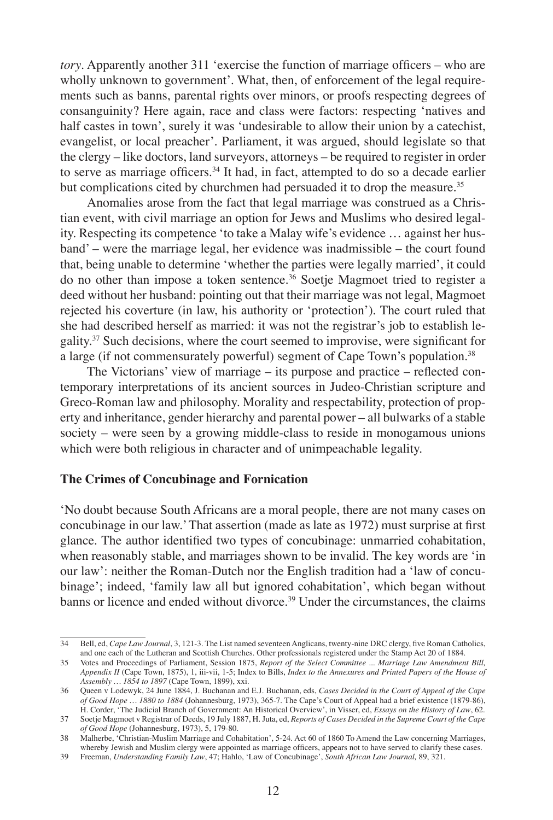*tory*. Apparently another 311 'exercise the function of marriage officers – who are wholly unknown to government'. What, then, of enforcement of the legal requirements such as banns, parental rights over minors, or proofs respecting degrees of consanguinity? Here again, race and class were factors: respecting 'natives and half castes in town', surely it was 'undesirable to allow their union by a catechist, evangelist, or local preacher'. Parliament, it was argued, should legislate so that the clergy – like doctors, land surveyors, attorneys – be required to register in order to serve as marriage officers.<sup>34</sup> It had, in fact, attempted to do so a decade earlier but complications cited by churchmen had persuaded it to drop the measure.<sup>35</sup>

Anomalies arose from the fact that legal marriage was construed as a Christian event, with civil marriage an option for Jews and Muslims who desired legality. Respecting its competence 'to take a Malay wife's evidence … against her husband' – were the marriage legal, her evidence was inadmissible – the court found that, being unable to determine 'whether the parties were legally married', it could do no other than impose a token sentence.36 Soetje Magmoet tried to register a deed without her husband: pointing out that their marriage was not legal, Magmoet rejected his coverture (in law, his authority or 'protection'). The court ruled that she had described herself as married: it was not the registrar's job to establish legality.37 Such decisions, where the court seemed to improvise, were significant for a large (if not commensurately powerful) segment of Cape Town's population.<sup>38</sup>

The Victorians' view of marriage – its purpose and practice – reflected contemporary interpretations of its ancient sources in Judeo-Christian scripture and Greco-Roman law and philosophy. Morality and respectability, protection of property and inheritance, gender hierarchy and parental power – all bulwarks of a stable society – were seen by a growing middle-class to reside in monogamous unions which were both religious in character and of unimpeachable legality.

#### **The Crimes of Concubinage and Fornication**

'No doubt because South Africans are a moral people, there are not many cases on concubinage in our law.' That assertion (made as late as 1972) must surprise at first glance. The author identified two types of concubinage: unmarried cohabitation, when reasonably stable, and marriages shown to be invalid. The key words are 'in our law': neither the Roman-Dutch nor the English tradition had a 'law of concubinage'; indeed, 'family law all but ignored cohabitation', which began without banns or licence and ended without divorce.<sup>39</sup> Under the circumstances, the claims

<sup>34</sup> Bell, ed, *Cape Law Journal*, 3, 121-3. The List named seventeen Anglicans, twenty-nine DRC clergy, five Roman Catholics, and one each of the Lutheran and Scottish Churches. Other professionals registered under the Stamp Act 20 of 1884.

<sup>35</sup> Votes and Proceedings of Parliament, Session 1875, *Report of the Select Committee ... Marriage Law Amendment Bill, Appendix II* (Cape Town, 1875), 1, iii-vii, 1-5; Index to Bills, *Index to the Annexures and Printed Papers of the House of Assembly … 1854 to 1897* (Cape Town, 1899), xxi.

<sup>36</sup> Queen v Lodewyk, 24 June 1884, J. Buchanan and E.J. Buchanan, eds, *Cases Decided in the Court of Appeal of the Cape of Good Hope … 1880 to 1884* (Johannesburg, 1973), 365-7. The Cape's Court of Appeal had a brief existence (1879-86), H. Corder, 'The Judicial Branch of Government: An Historical Overview', in Visser, ed, *Essays on the History of Law*, 62.

<sup>37</sup> Soetje Magmoet v Registrar of Deeds, 19 July 1887, H. Juta, ed, *Reports of Cases Decided in the Supreme Court of the Cape of Good Hope* (Johannesburg, 1973), 5, 179-80.

<sup>38</sup> Malherbe, 'Christian-Muslim Marriage and Cohabitation', 5-24. Act 60 of 1860 To Amend the Law concerning Marriages, whereby Jewish and Muslim clergy were appointed as marriage officers, appears not to have served to clarify these cases.

<sup>39</sup> Freeman, *Understanding Family Law*, 47; Hahlo, 'Law of Concubinage', *South African Law Journal,* 89, 321.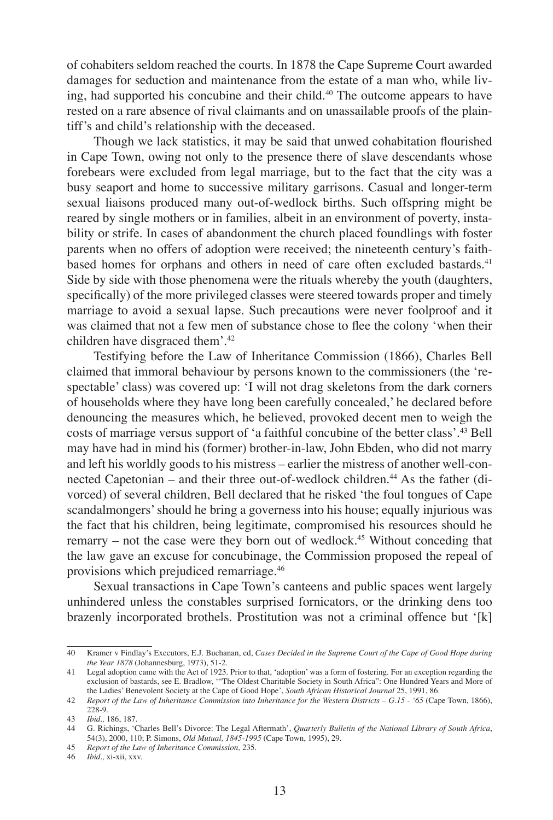of cohabiters seldom reached the courts. In 1878 the Cape Supreme Court awarded damages for seduction and maintenance from the estate of a man who, while living, had supported his concubine and their child.<sup>40</sup> The outcome appears to have rested on a rare absence of rival claimants and on unassailable proofs of the plaintiff's and child's relationship with the deceased.

Though we lack statistics, it may be said that unwed cohabitation flourished in Cape Town, owing not only to the presence there of slave descendants whose forebears were excluded from legal marriage, but to the fact that the city was a busy seaport and home to successive military garrisons. Casual and longer-term sexual liaisons produced many out-of-wedlock births. Such offspring might be reared by single mothers or in families, albeit in an environment of poverty, instability or strife. In cases of abandonment the church placed foundlings with foster parents when no offers of adoption were received; the nineteenth century's faithbased homes for orphans and others in need of care often excluded bastards.41 Side by side with those phenomena were the rituals whereby the youth (daughters, specifically) of the more privileged classes were steered towards proper and timely marriage to avoid a sexual lapse. Such precautions were never foolproof and it was claimed that not a few men of substance chose to flee the colony 'when their children have disgraced them'.<sup>42</sup>

Testifying before the Law of Inheritance Commission (1866), Charles Bell claimed that immoral behaviour by persons known to the commissioners (the 'respectable' class) was covered up: 'I will not drag skeletons from the dark corners of households where they have long been carefully concealed,' he declared before denouncing the measures which, he believed, provoked decent men to weigh the costs of marriage versus support of 'a faithful concubine of the better class'.43 Bell may have had in mind his (former) brother-in-law, John Ebden, who did not marry and left his worldly goods to his mistress – earlier the mistress of another well-connected Capetonian – and their three out-of-wedlock children.<sup>44</sup> As the father (divorced) of several children, Bell declared that he risked 'the foul tongues of Cape scandalmongers' should he bring a governess into his house; equally injurious was the fact that his children, being legitimate, compromised his resources should he remarry – not the case were they born out of wedlock.<sup>45</sup> Without conceding that the law gave an excuse for concubinage, the Commission proposed the repeal of provisions which prejudiced remarriage.46

Sexual transactions in Cape Town's canteens and public spaces went largely unhindered unless the constables surprised fornicators, or the drinking dens too brazenly incorporated brothels. Prostitution was not a criminal offence but '[k]

46 *Ibid.,* xi-xii, xxv.

<sup>40</sup> Kramer v Findlay's Executors, E.J. Buchanan, ed, *Cases Decided in the Supreme Court of the Cape of Good Hope during the Year 1878* (Johannesburg, 1973), 51-2.

<sup>41</sup> Legal adoption came with the Act of 1923. Prior to that, 'adoption' was a form of fostering. For an exception regarding the exclusion of bastards, see E. Bradlow, '"The Oldest Charitable Society in South Africa": One Hundred Years and More of the Ladies' Benevolent Society at the Cape of Good Hope', *South African Historical Journal* 25, 1991, 86.

<sup>42</sup> *Report of the Law of Inheritance Commission into Inheritance for the Western Districts – G.15 - '65* (Cape Town, 1866), 228-9.

<sup>43</sup> *Ibid.,* 186, 187.

<sup>44</sup> G. Richings, 'Charles Bell's Divorce: The Legal Aftermath', *Quarterly Bulletin of the National Library of South Africa*, 54(3), 2000, 110; P. Simons, *Old Mutual, 1845-1995* (Cape Town, 1995), 29.

<sup>45</sup> *Report of the Law of Inheritance Commission,* 235.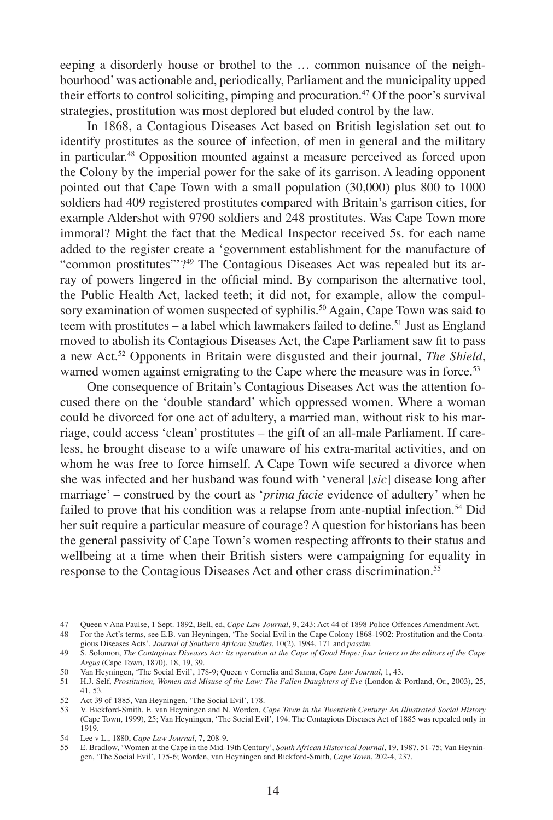eeping a disorderly house or brothel to the … common nuisance of the neighbourhood' was actionable and, periodically, Parliament and the municipality upped their efforts to control soliciting, pimping and procuration.<sup>47</sup> Of the poor's survival strategies, prostitution was most deplored but eluded control by the law.

In 1868, a Contagious Diseases Act based on British legislation set out to identify prostitutes as the source of infection, of men in general and the military in particular.48 Opposition mounted against a measure perceived as forced upon the Colony by the imperial power for the sake of its garrison. A leading opponent pointed out that Cape Town with a small population (30,000) plus 800 to 1000 soldiers had 409 registered prostitutes compared with Britain's garrison cities, for example Aldershot with 9790 soldiers and 248 prostitutes. Was Cape Town more immoral? Might the fact that the Medical Inspector received 5s. for each name added to the register create a 'government establishment for the manufacture of "common prostitutes"'?49 The Contagious Diseases Act was repealed but its array of powers lingered in the official mind. By comparison the alternative tool, the Public Health Act, lacked teeth; it did not, for example, allow the compulsory examination of women suspected of syphilis.<sup>50</sup> Again, Cape Town was said to teem with prostitutes – a label which lawmakers failed to define.<sup>51</sup> Just as England moved to abolish its Contagious Diseases Act, the Cape Parliament saw fit to pass a new Act.52 Opponents in Britain were disgusted and their journal, *The Shield*, warned women against emigrating to the Cape where the measure was in force.<sup>53</sup>

One consequence of Britain's Contagious Diseases Act was the attention focused there on the 'double standard' which oppressed women. Where a woman could be divorced for one act of adultery, a married man, without risk to his marriage, could access 'clean' prostitutes – the gift of an all-male Parliament. If careless, he brought disease to a wife unaware of his extra-marital activities, and on whom he was free to force himself. A Cape Town wife secured a divorce when she was infected and her husband was found with 'veneral [*sic*] disease long after marriage' – construed by the court as '*prima facie* evidence of adultery' when he failed to prove that his condition was a relapse from ante-nuptial infection.<sup>54</sup> Did her suit require a particular measure of courage? A question for historians has been the general passivity of Cape Town's women respecting affronts to their status and wellbeing at a time when their British sisters were campaigning for equality in response to the Contagious Diseases Act and other crass discrimination.<sup>55</sup>

<sup>47</sup> Queen v Ana Paulse, 1 Sept. 1892, Bell, ed, *Cape Law Journal*, 9, 243; Act 44 of 1898 Police Offences Amendment Act.<br>48 For the Act's terms, see E.B. van Heyningen, 'The Social Evil in the Cape Colony 1868-1902: Prosti gious Diseases Acts', *Journal of Southern African Studies*, 10(2), 1984, 171 and *passim*.

<sup>49</sup> S. Solomon, *The Contagious Diseases Act: its operation at the Cape of Good Hope: four letters to the editors of the Cape Argus* (Cape Town, 1870), 18, 19, 39.

<sup>50</sup> Van Heyningen, 'The Social Evil', 178-9; Queen v Cornelia and Sanna, *Cape Law Journal*, 1, 43.

<sup>51</sup> H.J. Self, *Prostitution, Women and Misuse of the Law: The Fallen Daughters of Eve* (London & Portland, Or., 2003), 25, 41, 53.

<sup>52</sup> Act 39 of 1885, Van Heyningen, 'The Social Evil', 178.<br>53 V. Bickford-Smith, E. van Heyningen and N. Worden.

<sup>53</sup> V. Bickford-Smith, E. van Heyningen and N. Worden, *Cape Town in the Twentieth Century: An Illustrated Social History* (Cape Town, 1999), 25; Van Heyningen, 'The Social Evil', 194. The Contagious Diseases Act of 1885 was repealed only in 1919.

<sup>54</sup> Lee v L., 1880, *Cape Law Journal*, 7, 208-9.

<sup>55</sup> E. Bradlow, 'Women at the Cape in the Mid-19th Century', *South African Historical Journal*, 19, 1987, 51-75; Van Heyningen, 'The Social Evil', 175-6; Worden, van Heyningen and Bickford-Smith, *Cape Town*, 202-4, 237.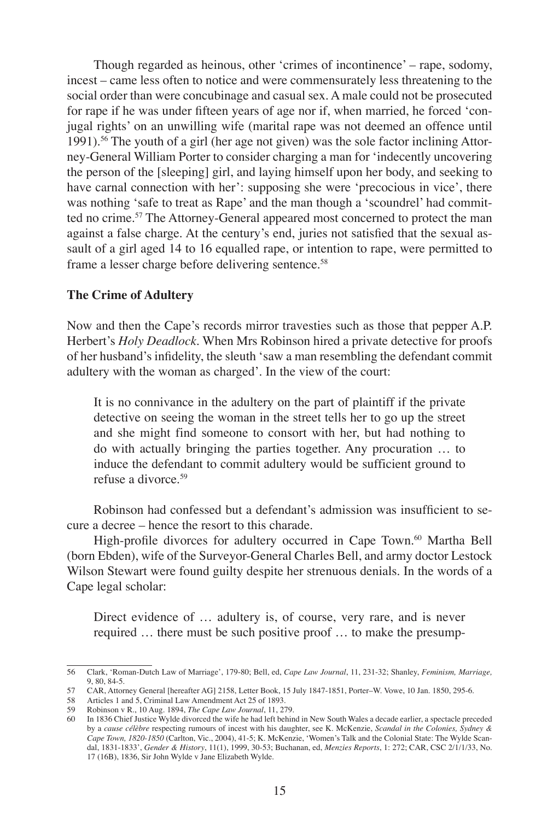Though regarded as heinous, other 'crimes of incontinence' – rape, sodomy, incest – came less often to notice and were commensurately less threatening to the social order than were concubinage and casual sex. A male could not be prosecuted for rape if he was under fifteen years of age nor if, when married, he forced 'conjugal rights' on an unwilling wife (marital rape was not deemed an offence until 1991).56 The youth of a girl (her age not given) was the sole factor inclining Attorney-General William Porter to consider charging a man for 'indecently uncovering the person of the [sleeping] girl, and laying himself upon her body, and seeking to have carnal connection with her': supposing she were 'precocious in vice', there was nothing 'safe to treat as Rape' and the man though a 'scoundrel' had committed no crime.<sup>57</sup> The Attorney-General appeared most concerned to protect the man against a false charge. At the century's end, juries not satisfied that the sexual assault of a girl aged 14 to 16 equalled rape, or intention to rape, were permitted to frame a lesser charge before delivering sentence.<sup>58</sup>

#### **The Crime of Adultery**

Now and then the Cape's records mirror travesties such as those that pepper A.P. Herbert's *Holy Deadlock*. When Mrs Robinson hired a private detective for proofs of her husband's infidelity, the sleuth 'saw a man resembling the defendant commit adultery with the woman as charged'. In the view of the court:

It is no connivance in the adultery on the part of plaintiff if the private detective on seeing the woman in the street tells her to go up the street and she might find someone to consort with her, but had nothing to do with actually bringing the parties together. Any procuration … to induce the defendant to commit adultery would be sufficient ground to refuse a divorce <sup>59</sup>

Robinson had confessed but a defendant's admission was insufficient to secure a decree – hence the resort to this charade.

High-profile divorces for adultery occurred in Cape Town.<sup>60</sup> Martha Bell (born Ebden), wife of the Surveyor-General Charles Bell, and army doctor Lestock Wilson Stewart were found guilty despite her strenuous denials. In the words of a Cape legal scholar:

Direct evidence of … adultery is, of course, very rare, and is never required … there must be such positive proof … to make the presump-

<sup>56</sup> Clark, 'Roman-Dutch Law of Marriage', 179-80; Bell, ed, *Cape Law Journal*, 11, 231-32; Shanley, *Feminism, Marriage,* 9, 80, 84-5.

<sup>57</sup> CAR, Attorney General [hereafter AG] 2158, Letter Book, 15 July 1847-1851, Porter–W. Vowe, 10 Jan. 1850, 295-6.<br>58 Articles 1 and 5. Criminal Law Amendment Act 25 of 1893.

Articles 1 and 5, Criminal Law Amendment Act 25 of 1893.

<sup>59</sup> Robinson v R., 10 Aug. 1894, *The Cape Law Journal*, 11, 279.

<sup>60</sup> In 1836 Chief Justice Wylde divorced the wife he had left behind in New South Wales a decade earlier, a spectacle preceded by a *cause célèbre* respecting rumours of incest with his daughter, see K. McKenzie, *Scandal in the Colonies, Sydney & Cape Town, 1820-1850* (Carlton, Vic., 2004), 41-5; K. McKenzie, 'Women's Talk and the Colonial State: The Wylde Scandal, 1831-1833', *Gender & History*, 11(1), 1999, 30-53; Buchanan, ed, *Menzies Reports*, 1: 272; CAR, CSC 2/1/1/33, No. 17 (16B), 1836, Sir John Wylde v Jane Elizabeth Wylde.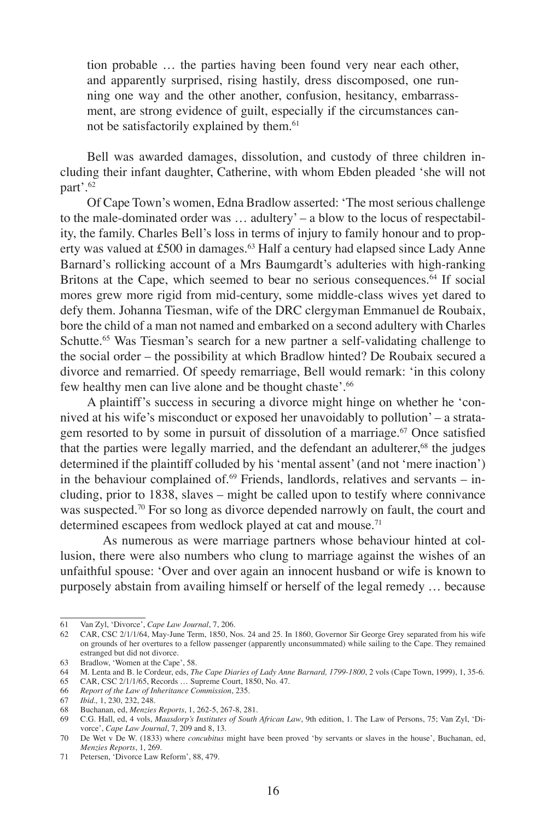tion probable … the parties having been found very near each other, and apparently surprised, rising hastily, dress discomposed, one running one way and the other another, confusion, hesitancy, embarrassment, are strong evidence of guilt, especially if the circumstances cannot be satisfactorily explained by them.<sup>61</sup>

Bell was awarded damages, dissolution, and custody of three children including their infant daughter, Catherine, with whom Ebden pleaded 'she will not part'.<sup>62</sup>

Of Cape Town's women, Edna Bradlow asserted: 'The most serious challenge to the male-dominated order was … adultery' – a blow to the locus of respectability, the family. Charles Bell's loss in terms of injury to family honour and to property was valued at £500 in damages.<sup>63</sup> Half a century had elapsed since Lady Anne Barnard's rollicking account of a Mrs Baumgardt's adulteries with high-ranking Britons at the Cape, which seemed to bear no serious consequences.<sup>64</sup> If social mores grew more rigid from mid-century, some middle-class wives yet dared to defy them. Johanna Tiesman, wife of the DRC clergyman Emmanuel de Roubaix, bore the child of a man not named and embarked on a second adultery with Charles Schutte.<sup>65</sup> Was Tiesman's search for a new partner a self-validating challenge to the social order – the possibility at which Bradlow hinted? De Roubaix secured a divorce and remarried. Of speedy remarriage, Bell would remark: 'in this colony few healthy men can live alone and be thought chaste'.<sup>66</sup>

A plaintiff's success in securing a divorce might hinge on whether he 'connived at his wife's misconduct or exposed her unavoidably to pollution' – a stratagem resorted to by some in pursuit of dissolution of a marriage.<sup>67</sup> Once satisfied that the parties were legally married, and the defendant an adulterer,<sup>68</sup> the judges determined if the plaintiff colluded by his 'mental assent' (and not 'mere inaction') in the behaviour complained of. $69$  Friends, landlords, relatives and servants – including, prior to 1838, slaves – might be called upon to testify where connivance was suspected.<sup>70</sup> For so long as divorce depended narrowly on fault, the court and determined escapees from wedlock played at cat and mouse.<sup>71</sup>

As numerous as were marriage partners whose behaviour hinted at collusion, there were also numbers who clung to marriage against the wishes of an unfaithful spouse: 'Over and over again an innocent husband or wife is known to purposely abstain from availing himself or herself of the legal remedy … because

<sup>61</sup> Van Zyl, 'Divorce', *Cape Law Journal*, 7, 206. 62 CAR, CSC 2/1/1/64, May-June Term, 1850, Nos. 24 and 25. In 1860, Governor Sir George Grey separated from his wife on grounds of her overtures to a fellow passenger (apparently unconsummated) while sailing to the Cape. They remained estranged but did not divorce.

<sup>63</sup> Bradlow, 'Women at the Cape', 58.

<sup>64</sup> M. Lenta and B. le Cordeur, eds, *The Cape Diaries of Lady Anne Barnard, 1799-1800*, 2 vols (Cape Town, 1999), 1, 35-6.

<sup>65</sup> CAR, CSC 2/1/1/65, Records … Supreme Court, 1850, No. 47.

<sup>66</sup> *Report of the Law of Inheritance Commission*, 235.

<sup>67</sup> *Ibid.,* 1, 230, 232, 248.

<sup>68</sup> Buchanan, ed, *Menzies Reports*, 1, 262-5, 267-8, 281.

<sup>69</sup> C.G. Hall, ed, 4 vols, *Maasdorp's Institutes of South African Law*, 9th edition, 1. The Law of Persons, 75; Van Zyl, 'Divorce', *Cape Law Journal*, 7, 209 and 8, 13.

<sup>70</sup> De Wet v De W. (1833) where *concubitus* might have been proved 'by servants or slaves in the house', Buchanan, ed, *Menzies Reports*, 1, 269.

<sup>71</sup> Petersen, 'Divorce Law Reform', 88, 479.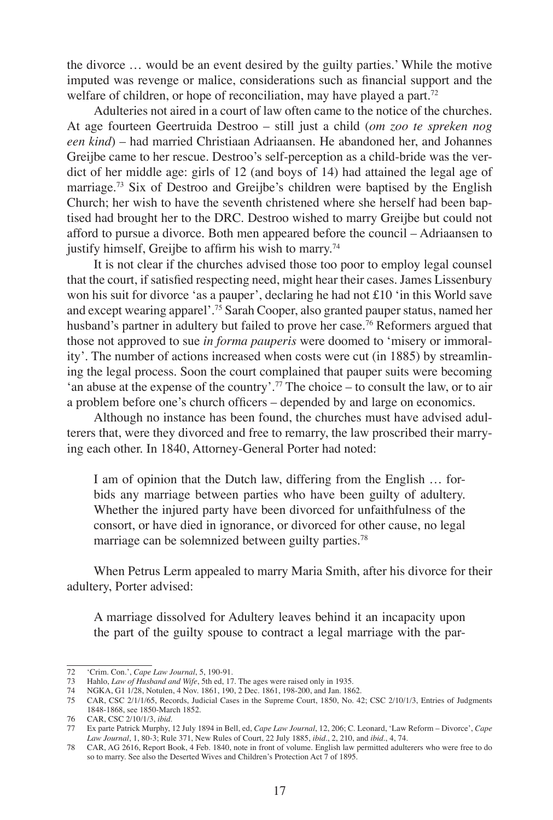the divorce … would be an event desired by the guilty parties.' While the motive imputed was revenge or malice, considerations such as financial support and the welfare of children, or hope of reconciliation, may have played a part.<sup>72</sup>

Adulteries not aired in a court of law often came to the notice of the churches. At age fourteen Geertruida Destroo – still just a child (*om zoo te spreken nog een kind*) – had married Christiaan Adriaansen. He abandoned her, and Johannes Greijbe came to her rescue. Destroo's self-perception as a child-bride was the verdict of her middle age: girls of 12 (and boys of 14) had attained the legal age of marriage.73 Six of Destroo and Greijbe's children were baptised by the English Church; her wish to have the seventh christened where she herself had been baptised had brought her to the DRC. Destroo wished to marry Greijbe but could not afford to pursue a divorce. Both men appeared before the council – Adriaansen to justify himself, Greijbe to affirm his wish to marry.<sup>74</sup>

It is not clear if the churches advised those too poor to employ legal counsel that the court, if satisfied respecting need, might hear their cases. James Lissenbury won his suit for divorce 'as a pauper', declaring he had not £10 'in this World save and except wearing apparel'.75 Sarah Cooper, also granted pauper status, named her husband's partner in adultery but failed to prove her case.<sup>76</sup> Reformers argued that those not approved to sue *in forma pauperis* were doomed to 'misery or immorality'. The number of actions increased when costs were cut (in 1885) by streamlining the legal process. Soon the court complained that pauper suits were becoming 'an abuse at the expense of the country'.<sup>77</sup> The choice – to consult the law, or to air a problem before one's church officers – depended by and large on economics.

Although no instance has been found, the churches must have advised adulterers that, were they divorced and free to remarry, the law proscribed their marrying each other. In 1840, Attorney-General Porter had noted:

I am of opinion that the Dutch law, differing from the English … forbids any marriage between parties who have been guilty of adultery. Whether the injured party have been divorced for unfaithfulness of the consort, or have died in ignorance, or divorced for other cause, no legal marriage can be solemnized between guilty parties.<sup>78</sup>

When Petrus Lerm appealed to marry Maria Smith, after his divorce for their adultery, Porter advised:

A marriage dissolved for Adultery leaves behind it an incapacity upon the part of the guilty spouse to contract a legal marriage with the par-

<sup>72</sup> 'Crim. Con.', *Cape Law Journal*, 5, 190-91.

<sup>73</sup> Hahlo, *Law of Husband and Wife*, 5th ed, 17. The ages were raised only in 1935.

<sup>74</sup> NGKA, G1 1/28, Notulen, 4 Nov. 1861, 190, 2 Dec. 1861, 198-200, and Jan. 1862.

<sup>75</sup> CAR, CSC 2/1/1/65, Records, Judicial Cases in the Supreme Court, 1850, No. 42; CSC 2/10/1/3, Entries of Judgments 1848-1868, see 1850-March 1852.

<sup>76</sup> CAR, CSC 2/10/1/3, *ibid.*

<sup>77</sup> Ex parte Patrick Murphy, 12 July 1894 in Bell, ed, *Cape Law Journal*, 12, 206; C. Leonard, 'Law Reform – Divorce', *Cape Law Journal*, 1, 80-3; Rule 371, New Rules of Court, 22 July 1885, *ibid.*, 2, 210, and *ibid*., 4, 74.

<sup>78</sup> CAR, AG 2616, Report Book, 4 Feb. 1840, note in front of volume. English law permitted adulterers who were free to do so to marry. See also the Deserted Wives and Children's Protection Act 7 of 1895.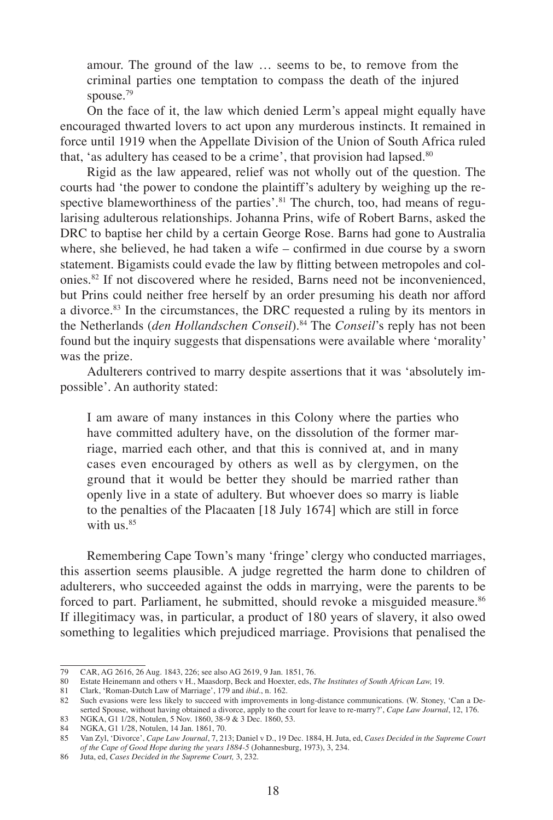amour. The ground of the law … seems to be, to remove from the criminal parties one temptation to compass the death of the injured spouse.<sup>79</sup>

On the face of it, the law which denied Lerm's appeal might equally have encouraged thwarted lovers to act upon any murderous instincts. It remained in force until 1919 when the Appellate Division of the Union of South Africa ruled that, 'as adultery has ceased to be a crime', that provision had lapsed. $80$ 

Rigid as the law appeared, relief was not wholly out of the question. The courts had 'the power to condone the plaintiff's adultery by weighing up the respective blameworthiness of the parties'.<sup>81</sup> The church, too, had means of regularising adulterous relationships. Johanna Prins, wife of Robert Barns, asked the DRC to baptise her child by a certain George Rose. Barns had gone to Australia where, she believed, he had taken a wife – confirmed in due course by a sworn statement. Bigamists could evade the law by flitting between metropoles and colonies.82 If not discovered where he resided, Barns need not be inconvenienced, but Prins could neither free herself by an order presuming his death nor afford a divorce.83 In the circumstances, the DRC requested a ruling by its mentors in the Netherlands (*den Hollandschen Conseil*).84 The *Conseil*'s reply has not been found but the inquiry suggests that dispensations were available where 'morality' was the prize.

Adulterers contrived to marry despite assertions that it was 'absolutely impossible'. An authority stated:

I am aware of many instances in this Colony where the parties who have committed adultery have, on the dissolution of the former marriage, married each other, and that this is connived at, and in many cases even encouraged by others as well as by clergymen, on the ground that it would be better they should be married rather than openly live in a state of adultery. But whoever does so marry is liable to the penalties of the Placaaten [18 July 1674] which are still in force with  $\text{us.}^{85}$ 

Remembering Cape Town's many 'fringe' clergy who conducted marriages, this assertion seems plausible. A judge regretted the harm done to children of adulterers, who succeeded against the odds in marrying, were the parents to be forced to part. Parliament, he submitted, should revoke a misguided measure.<sup>86</sup> If illegitimacy was, in particular, a product of 180 years of slavery, it also owed something to legalities which prejudiced marriage. Provisions that penalised the

<sup>79</sup> CAR, AG 2616, 26 Aug. 1843, 226; see also AG 2619, 9 Jan. 1851, 76.

<sup>80</sup> Estate Heinemann and others v H., Maasdorp, Beck and Hoexter, eds, *The Institutes of South African Law,* 19.

<sup>81</sup> Clark, 'Roman-Dutch Law of Marriage', 179 and *ibid*., n. 162.

<sup>82</sup> Such evasions were less likely to succeed with improvements in long-distance communications. (W. Stoney, 'Can a Deserted Spouse, without having obtained a divorce, apply to the court for leave to re-marry?', *Cape Law Journal*, 12, 176.

<sup>83</sup> NGKA, G1 1/28, Notulen, 5 Nov. 1860, 38-9 & 3 Dec. 1860, 53.

<sup>84</sup> NGKA, G1 1/28, Notulen, 14 Jan. 1861, 70.<br>85 Van Zyl. 'Divorce'. Cape Law Journal. 7. 21

<sup>85</sup> Van Zyl, 'Divorce', *Cape Law Journal*, 7, 213; Daniel v D., 19 Dec. 1884, H. Juta, ed, *Cases Decided in the Supreme Court of the Cape of Good Hope during the years 1884-5* (Johannesburg, 1973), 3, 234.

<sup>86</sup> Juta, ed, *Cases Decided in the Supreme Court,* 3, 232.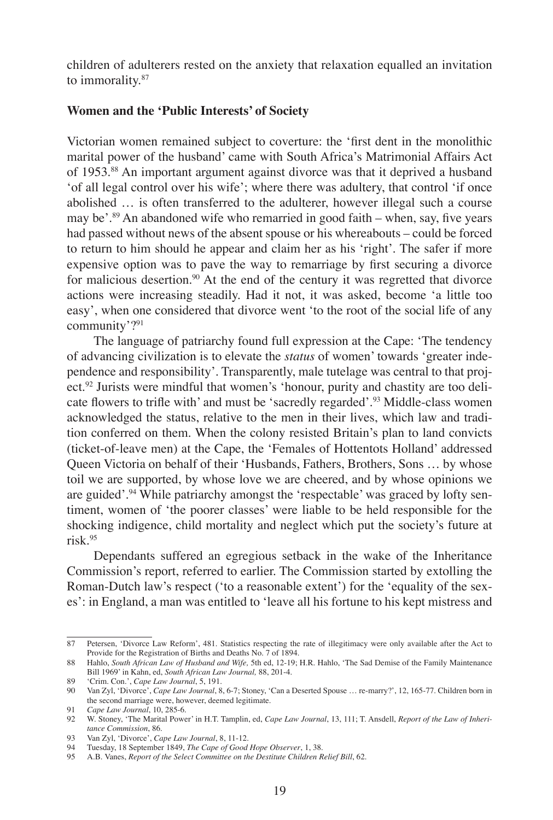children of adulterers rested on the anxiety that relaxation equalled an invitation to immorality.87

## **Women and the 'Public Interests' of Society**

Victorian women remained subject to coverture: the 'first dent in the monolithic marital power of the husband' came with South Africa's Matrimonial Affairs Act of 1953.88 An important argument against divorce was that it deprived a husband 'of all legal control over his wife'; where there was adultery, that control 'if once abolished … is often transferred to the adulterer, however illegal such a course may be'.<sup>89</sup> An abandoned wife who remarried in good faith – when, say, five years had passed without news of the absent spouse or his whereabouts – could be forced to return to him should he appear and claim her as his 'right'. The safer if more expensive option was to pave the way to remarriage by first securing a divorce for malicious desertion.<sup>90</sup> At the end of the century it was regretted that divorce actions were increasing steadily. Had it not, it was asked, become 'a little too easy', when one considered that divorce went 'to the root of the social life of any community'?<sup>91</sup>

The language of patriarchy found full expression at the Cape: 'The tendency of advancing civilization is to elevate the *status* of women' towards 'greater independence and responsibility'. Transparently, male tutelage was central to that project.<sup>92</sup> Jurists were mindful that women's 'honour, purity and chastity are too delicate flowers to trifle with' and must be 'sacredly regarded'.<sup>93</sup> Middle-class women acknowledged the status, relative to the men in their lives, which law and tradition conferred on them. When the colony resisted Britain's plan to land convicts (ticket-of-leave men) at the Cape, the 'Females of Hottentots Holland' addressed Queen Victoria on behalf of their 'Husbands, Fathers, Brothers, Sons … by whose toil we are supported, by whose love we are cheered, and by whose opinions we are guided'.94 While patriarchy amongst the 'respectable' was graced by lofty sentiment, women of 'the poorer classes' were liable to be held responsible for the shocking indigence, child mortality and neglect which put the society's future at risk.95

Dependants suffered an egregious setback in the wake of the Inheritance Commission's report, referred to earlier. The Commission started by extolling the Roman-Dutch law's respect ('to a reasonable extent') for the 'equality of the sexes': in England, a man was entitled to 'leave all his fortune to his kept mistress and

<sup>87</sup> Petersen, 'Divorce Law Reform', 481. Statistics respecting the rate of illegitimacy were only available after the Act to Provide for the Registration of Births and Deaths No. 7 of 1894.

<sup>88</sup> Hahlo, *South African Law of Husband and Wife,* 5th ed, 12-19; H.R. Hahlo, 'The Sad Demise of the Family Maintenance Bill 1969' in Kahn, ed, *South African Law Journal,* 88, 201-4.

<sup>89</sup> 'Crim. Con.', *Cape Law Journal*, 5, 191.

<sup>90</sup> Van Zyl, 'Divorce', *Cape Law Journal*, 8, 6-7; Stoney, 'Can a Deserted Spouse … re-marry?', 12, 165-77. Children born in the second marriage were, however, deemed legitimate.

<sup>91</sup> *Cape Law Journal*, 10, 285-6.

<sup>92</sup> W. Stoney, 'The Marital Power' in H.T. Tamplin, ed, *Cape Law Journal*, 13, 111; T. Ansdell, *Report of the Law of Inheritance Commission*, 86.

<sup>93</sup> Van Zyl, 'Divorce', *Cape Law Journal*, 8, 11-12.

<sup>94</sup> Tuesday, 18 September 1849, *The Cape of Good Hope Observer*, 1, 38.

<sup>95</sup> A.B. Vanes, *Report of the Select Committee on the Destitute Children Relief Bill*, 62.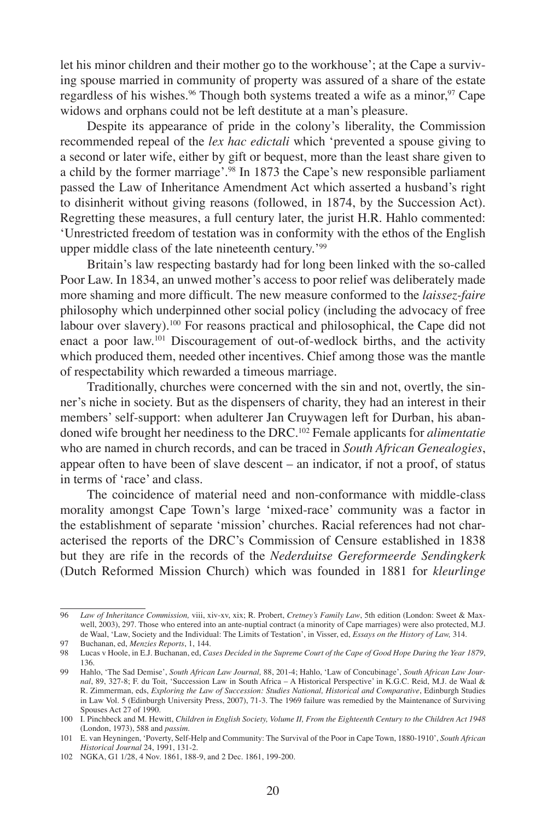let his minor children and their mother go to the workhouse'; at the Cape a surviving spouse married in community of property was assured of a share of the estate regardless of his wishes.<sup>96</sup> Though both systems treated a wife as a minor,<sup>97</sup> Cape widows and orphans could not be left destitute at a man's pleasure.

Despite its appearance of pride in the colony's liberality, the Commission recommended repeal of the *lex hac edictali* which 'prevented a spouse giving to a second or later wife, either by gift or bequest, more than the least share given to a child by the former marriage'.<sup>98</sup> In 1873 the Cape's new responsible parliament passed the Law of Inheritance Amendment Act which asserted a husband's right to disinherit without giving reasons (followed, in 1874, by the Succession Act). Regretting these measures, a full century later, the jurist H.R. Hahlo commented: 'Unrestricted freedom of testation was in conformity with the ethos of the English upper middle class of the late nineteenth century.'<sup>99</sup>

Britain's law respecting bastardy had for long been linked with the so-called Poor Law. In 1834, an unwed mother's access to poor relief was deliberately made more shaming and more difficult. The new measure conformed to the *laissez-faire* philosophy which underpinned other social policy (including the advocacy of free labour over slavery).<sup>100</sup> For reasons practical and philosophical, the Cape did not enact a poor law.<sup>101</sup> Discouragement of out-of-wedlock births, and the activity which produced them, needed other incentives. Chief among those was the mantle of respectability which rewarded a timeous marriage.

Traditionally, churches were concerned with the sin and not, overtly, the sinner's niche in society. But as the dispensers of charity, they had an interest in their members' self-support: when adulterer Jan Cruywagen left for Durban, his abandoned wife brought her neediness to the DRC.102 Female applicants for *alimentatie*  who are named in church records, and can be traced in *South African Genealogies*, appear often to have been of slave descent – an indicator, if not a proof, of status in terms of 'race' and class.

The coincidence of material need and non-conformance with middle-class morality amongst Cape Town's large 'mixed-race' community was a factor in the establishment of separate 'mission' churches. Racial references had not characterised the reports of the DRC's Commission of Censure established in 1838 but they are rife in the records of the *Nederduitse Gereformeerde Sendingkerk* (Dutch Reformed Mission Church) which was founded in 1881 for *kleurlinge* 

<sup>96</sup> *Law of Inheritance Commission,* viii, xiv-xv, xix; R. Probert, *Cretney's Family Law*, 5th edition (London: Sweet & Maxwell, 2003), 297. Those who entered into an ante-nuptial contract (a minority of Cape marriages) were also protected, M.J. de Waal, 'Law, Society and the Individual: The Limits of Testation', in Visser, ed, *Essays on the History of Law,* 314.

<sup>97</sup> Buchanan, ed, *Menzies Reports*, 1, 144.

<sup>98</sup> Lucas v Hoole, in E.J. Buchanan, ed, *Cases Decided in the Supreme Court of the Cape of Good Hope During the Year 1879*, 136.

<sup>99</sup> Hahlo, 'The Sad Demise', *South African Law Journal,* 88, 201-4; Hahlo, 'Law of Concubinage', *South African Law Journal*, 89, 327-8; F. du Toit, 'Succession Law in South Africa – A Historical Perspective' in K.G.C. Reid, M.J. de Waal & R. Zimmerman, eds, *Exploring the Law of Succession: Studies National, Historical and Comparative*, Edinburgh Studies in Law Vol. 5 (Edinburgh University Press, 2007), 71-3. The 1969 failure was remedied by the Maintenance of Surviving Spouses Act 27 of 1990.

<sup>100</sup> I. Pinchbeck and M. Hewitt, *Children in English Society, Volume II, From the Eighteenth Century to the Children Act 1948* (London, 1973), 588 and *passim*.

<sup>101</sup> E. van Heyningen, 'Poverty, Self-Help and Community: The Survival of the Poor in Cape Town, 1880-1910', *South African Historical Journal* 24, 1991, 131-2.

<sup>102</sup> NGKA, G1 1/28, 4 Nov. 1861, 188-9, and 2 Dec. 1861, 199-200.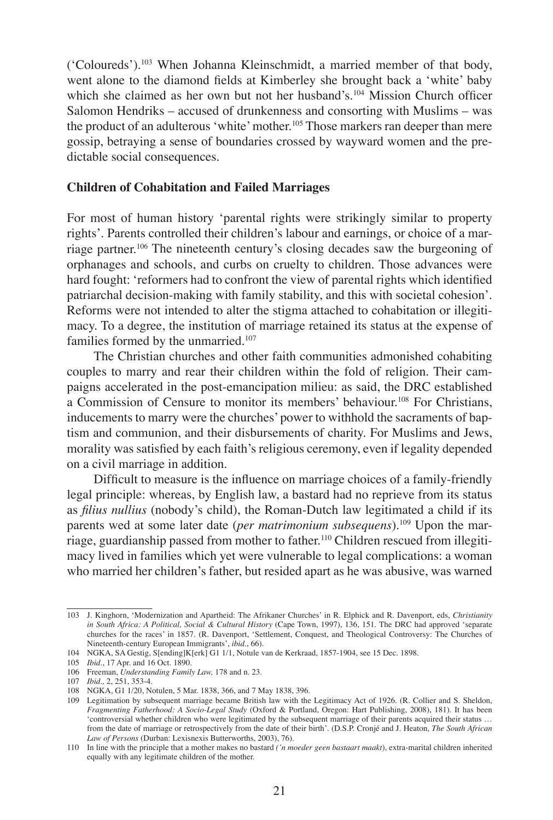('Coloureds').<sup>103</sup> When Johanna Kleinschmidt, a married member of that body, went alone to the diamond fields at Kimberley she brought back a 'white' baby which she claimed as her own but not her husband's.<sup>104</sup> Mission Church officer Salomon Hendriks – accused of drunkenness and consorting with Muslims – was the product of an adulterous 'white' mother.105 Those markers ran deeper than mere gossip, betraying a sense of boundaries crossed by wayward women and the predictable social consequences.

### **Children of Cohabitation and Failed Marriages**

For most of human history 'parental rights were strikingly similar to property rights'. Parents controlled their children's labour and earnings, or choice of a marriage partner.106 The nineteenth century's closing decades saw the burgeoning of orphanages and schools, and curbs on cruelty to children. Those advances were hard fought: 'reformers had to confront the view of parental rights which identified patriarchal decision-making with family stability, and this with societal cohesion'. Reforms were not intended to alter the stigma attached to cohabitation or illegitimacy. To a degree, the institution of marriage retained its status at the expense of families formed by the unmarried.<sup>107</sup>

The Christian churches and other faith communities admonished cohabiting couples to marry and rear their children within the fold of religion. Their campaigns accelerated in the post-emancipation milieu: as said, the DRC established a Commission of Censure to monitor its members' behaviour.108 For Christians, inducements to marry were the churches' power to withhold the sacraments of baptism and communion, and their disbursements of charity. For Muslims and Jews, morality was satisfied by each faith's religious ceremony, even if legality depended on a civil marriage in addition.

Difficult to measure is the influence on marriage choices of a family-friendly legal principle: whereas, by English law, a bastard had no reprieve from its status as *filius nullius* (nobody's child), the Roman-Dutch law legitimated a child if its parents wed at some later date (*per matrimonium subsequens*).109 Upon the marriage, guardianship passed from mother to father.110 Children rescued from illegitimacy lived in families which yet were vulnerable to legal complications: a woman who married her children's father, but resided apart as he was abusive, was warned

<sup>103</sup> J. Kinghorn, 'Modernization and Apartheid: The Afrikaner Churches' in R. Elphick and R. Davenport, eds, *Christianity in South Africa: A Political, Social & Cultural History* (Cape Town, 1997), 136, 151. The DRC had approved 'separate churches for the races' in 1857. (R. Davenport, 'Settlement, Conquest, and Theological Controversy: The Churches of Nineteenth-century European Immigrants', *ibid*., 66).

<sup>104</sup> NGKA, SA Gestig, S[ending]K[erk] G1 1/1, Notule van de Kerkraad, 1857-1904, see 15 Dec. 1898.

<sup>105</sup> *Ibid*., 17 Apr. and 16 Oct. 1890.

<sup>106</sup> Freeman, *Understanding Family Law,* 178 and n. 23.

<sup>107</sup> *Ibid.,* 2, 251, 353-4.

<sup>108</sup> NGKA, G1 1/20, Notulen, 5 Mar. 1838, 366, and 7 May 1838, 396.

<sup>109</sup> Legitimation by subsequent marriage became British law with the Legitimacy Act of 1926. (R. Collier and S. Sheldon, *Fragmenting Fatherhood: A Socio-Legal Study* (Oxford & Portland, Oregon: Hart Publishing, 2008), 181). It has been 'controversial whether children who were legitimated by the subsequent marriage of their parents acquired their status … from the date of marriage or retrospectively from the date of their birth'. (D.S.P. Cronjé and J. Heaton, *The South African Law of Persons* (Durban: Lexisnexis Butterworths, 2003), 76).

<sup>110</sup> In line with the principle that a mother makes no bastard *('n moeder geen bastaart maakt*), extra-marital children inherited equally with any legitimate children of the mother.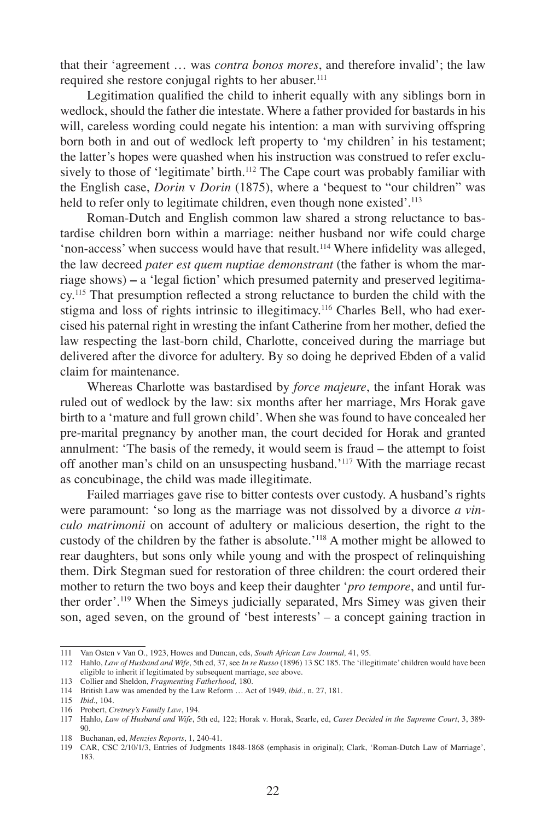that their 'agreement … was *contra bonos mores*, and therefore invalid'; the law required she restore conjugal rights to her abuser.<sup>111</sup>

Legitimation qualified the child to inherit equally with any siblings born in wedlock, should the father die intestate. Where a father provided for bastards in his will, careless wording could negate his intention: a man with surviving offspring born both in and out of wedlock left property to 'my children' in his testament; the latter's hopes were quashed when his instruction was construed to refer exclusively to those of 'legitimate' birth.<sup>112</sup> The Cape court was probably familiar with the English case, *Dorin* v *Dorin* (1875), where a 'bequest to "our children" was held to refer only to legitimate children, even though none existed'.<sup>113</sup>

Roman-Dutch and English common law shared a strong reluctance to bastardise children born within a marriage: neither husband nor wife could charge 'non-access' when success would have that result.<sup>114</sup> Where infidelity was alleged, the law decreed *pater est quem nuptiae demonstrant* (the father is whom the marriage shows) **–** a 'legal fiction' which presumed paternity and preserved legitimacy.115 That presumption reflected a strong reluctance to burden the child with the stigma and loss of rights intrinsic to illegitimacy.116 Charles Bell, who had exercised his paternal right in wresting the infant Catherine from her mother, defied the law respecting the last-born child, Charlotte, conceived during the marriage but delivered after the divorce for adultery. By so doing he deprived Ebden of a valid claim for maintenance.

Whereas Charlotte was bastardised by *force majeure*, the infant Horak was ruled out of wedlock by the law: six months after her marriage, Mrs Horak gave birth to a 'mature and full grown child'. When she was found to have concealed her pre-marital pregnancy by another man, the court decided for Horak and granted annulment: 'The basis of the remedy, it would seem is fraud – the attempt to foist off another man's child on an unsuspecting husband.'<sup>117</sup> With the marriage recast as concubinage, the child was made illegitimate.

Failed marriages gave rise to bitter contests over custody. A husband's rights were paramount: 'so long as the marriage was not dissolved by a divorce *a vinculo matrimonii* on account of adultery or malicious desertion, the right to the custody of the children by the father is absolute.'118 A mother might be allowed to rear daughters, but sons only while young and with the prospect of relinquishing them. Dirk Stegman sued for restoration of three children: the court ordered their mother to return the two boys and keep their daughter '*pro tempore*, and until further order'.<sup>119</sup> When the Simeys judicially separated, Mrs Simey was given their son, aged seven, on the ground of 'best interests' – a concept gaining traction in

116 Probert, *Cretney's Family Law*, 194.

<sup>111</sup> Van Osten v Van O., 1923, Howes and Duncan, eds, *South African Law Journal,* 41, 95.

<sup>112</sup> Hahlo, *Law of Husband and Wife*, 5th ed, 37, see *In re Russo* (1896) 13 SC 185. The 'illegitimate' children would have been eligible to inherit if legitimated by subsequent marriage, see above.

<sup>113</sup> Collier and Sheldon, *Fragmenting Fatherhood,* 180.

<sup>114</sup> British Law was amended by the Law Reform … Act of 1949, *ibid*., n. 27, 181.

<sup>115</sup> *Ibid.,* 104.

<sup>117</sup> Hahlo, *Law of Husband and Wife*, 5th ed, 122; Horak v. Horak, Searle, ed, *Cases Decided in the Supreme Court*, 3, 389- 90.

<sup>118</sup> Buchanan, ed, *Menzies Reports*, 1, 240-41.

<sup>119</sup> CAR, CSC 2/10/1/3, Entries of Judgments 1848-1868 (emphasis in original); Clark, 'Roman-Dutch Law of Marriage', 183.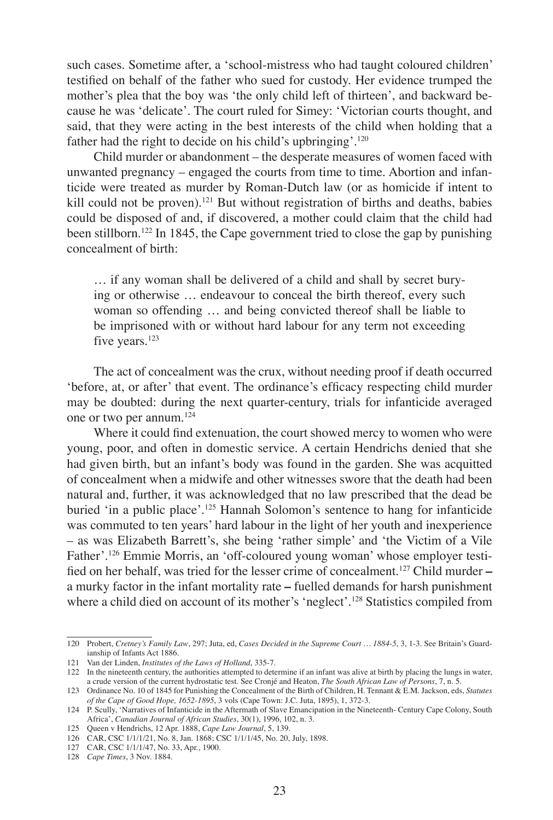such cases. Sometime after, a 'school-mistress who had taught coloured children' testified on behalf of the father who sued for custody. Her evidence trumped the mother's plea that the boy was 'the only child left of thirteen', and backward because he was 'delicate'. The court ruled for Simey: 'Victorian courts thought, and said, that they were acting in the best interests of the child when holding that a father had the right to decide on his child's upbringing'.<sup>120</sup>

Child murder or abandonment – the desperate measures of women faced with unwanted pregnancy – engaged the courts from time to time. Abortion and infanticide were treated as murder by Roman-Dutch law (or as homicide if intent to kill could not be proven).<sup>121</sup> But without registration of births and deaths, babies could be disposed of and, if discovered, a mother could claim that the child had been stillborn.<sup>122</sup> In 1845, the Cape government tried to close the gap by punishing concealment of birth:

… if any woman shall be delivered of a child and shall by secret burying or otherwise … endeavour to conceal the birth thereof, every such woman so offending … and being convicted thereof shall be liable to be imprisoned with or without hard labour for any term not exceeding five years.<sup>123</sup>

The act of concealment was the crux, without needing proof if death occurred 'before, at, or after' that event. The ordinance's efficacy respecting child murder may be doubted: during the next quarter-century, trials for infanticide averaged one or two per annum.124

Where it could find extenuation, the court showed mercy to women who were young, poor, and often in domestic service. A certain Hendrichs denied that she had given birth, but an infant's body was found in the garden. She was acquitted of concealment when a midwife and other witnesses swore that the death had been natural and, further, it was acknowledged that no law prescribed that the dead be buried 'in a public place'.<sup>125</sup> Hannah Solomon's sentence to hang for infanticide was commuted to ten years' hard labour in the light of her youth and inexperience – as was Elizabeth Barrett's, she being 'rather simple' and 'the Victim of a Vile Father'.126 Emmie Morris, an 'off-coloured young woman' whose employer testified on her behalf, was tried for the lesser crime of concealment.127 Child murder **–** a murky factor in the infant mortality rate **–** fuelled demands for harsh punishment where a child died on account of its mother's 'neglect'.<sup>128</sup> Statistics compiled from

<sup>120</sup> Probert, *Cretney's Family Law*, 297; Juta, ed, *Cases Decided in the Supreme Court … 1884-5*, 3, 1-3. See Britain's Guardianship of Infants Act 1886.

<sup>121</sup> Van der Linden, *Institutes of the Laws of Holland*, 335-7.

<sup>122</sup> In the nineteenth century, the authorities attempted to determine if an infant was alive at birth by placing the lungs in water, a crude version of the current hydrostatic test. See Cronjé and Heaton, *The South African Law of Persons*, 7, n. 5.

<sup>123</sup> Ordinance No. 10 of 1845 for Punishing the Concealment of the Birth of Children, H. Tennant & E.M. Jackson, eds, *Statutes of the Cape of Good Hope, 1652-1895*, 3 vols (Cape Town: J.C. Juta, 1895), 1, 372-3.

<sup>124</sup> P. Scully, 'Narratives of Infanticide in the Aftermath of Slave Emancipation in the Nineteenth- Century Cape Colony, South Africa', *Canadian Journal of African Studies*, 30(1), 1996, 102, n. 3.

<sup>125</sup> Queen v Hendrichs, 12 Apr. 1888, *Cape Law Journal*, 5, 139.

<sup>126</sup> CAR, CSC 1/1/1/21, No. 8, Jan. 1868; CSC 1/1/1/45, No. 20, July, 1898.

<sup>127</sup> CAR, CSC 1/1/1/47, No. 33, Apr., 1900.

<sup>128</sup> *Cape Times*, 3 Nov. 1884.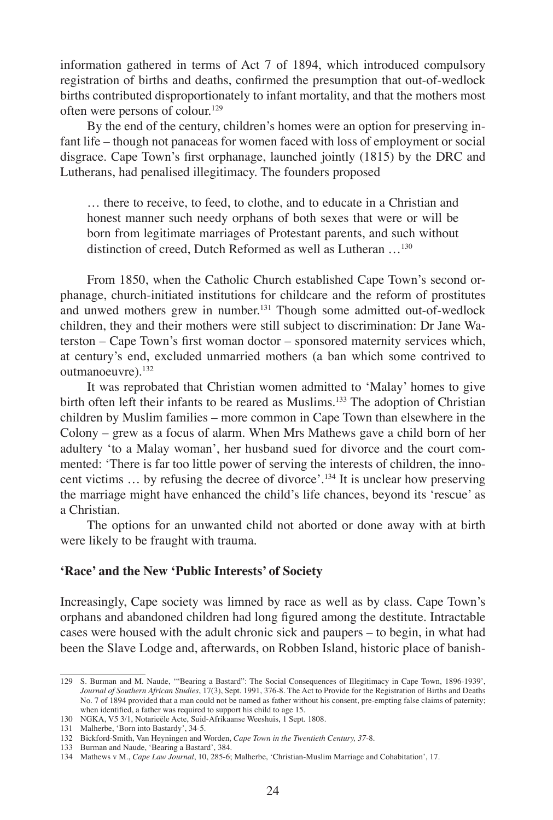information gathered in terms of Act 7 of 1894, which introduced compulsory registration of births and deaths, confirmed the presumption that out-of-wedlock births contributed disproportionately to infant mortality, and that the mothers most often were persons of colour.<sup>129</sup>

By the end of the century, children's homes were an option for preserving infant life – though not panaceas for women faced with loss of employment or social disgrace. Cape Town's first orphanage, launched jointly (1815) by the DRC and Lutherans, had penalised illegitimacy. The founders proposed

… there to receive, to feed, to clothe, and to educate in a Christian and honest manner such needy orphans of both sexes that were or will be born from legitimate marriages of Protestant parents, and such without distinction of creed, Dutch Reformed as well as Lutheran …130

From 1850, when the Catholic Church established Cape Town's second orphanage, church-initiated institutions for childcare and the reform of prostitutes and unwed mothers grew in number.131 Though some admitted out-of-wedlock children, they and their mothers were still subject to discrimination: Dr Jane Waterston – Cape Town's first woman doctor – sponsored maternity services which, at century's end, excluded unmarried mothers (a ban which some contrived to outmanoeuvre).132

It was reprobated that Christian women admitted to 'Malay' homes to give birth often left their infants to be reared as Muslims.<sup>133</sup> The adoption of Christian children by Muslim families – more common in Cape Town than elsewhere in the Colony – grew as a focus of alarm. When Mrs Mathews gave a child born of her adultery 'to a Malay woman', her husband sued for divorce and the court commented: 'There is far too little power of serving the interests of children, the innocent victims … by refusing the decree of divorce'.134 It is unclear how preserving the marriage might have enhanced the child's life chances, beyond its 'rescue' as a Christian.

The options for an unwanted child not aborted or done away with at birth were likely to be fraught with trauma.

#### **'Race' and the New 'Public Interests' of Society**

Increasingly, Cape society was limned by race as well as by class. Cape Town's orphans and abandoned children had long figured among the destitute. Intractable cases were housed with the adult chronic sick and paupers – to begin, in what had been the Slave Lodge and, afterwards, on Robben Island, historic place of banish-

<sup>129</sup> S. Burman and M. Naude, '"Bearing a Bastard": The Social Consequences of Illegitimacy in Cape Town, 1896-1939', *Journal of Southern African Studies*, 17(3), Sept. 1991, 376-8. The Act to Provide for the Registration of Births and Deaths No. 7 of 1894 provided that a man could not be named as father without his consent, pre-empting false claims of paternity; when identified, a father was required to support his child to age 15.

<sup>130</sup> NGKA, V5 3/1, Notarieële Acte, Suid-Afrikaanse Weeshuis, 1 Sept. 1808.

<sup>131</sup> Malherbe, 'Born into Bastardy', 34-5.

<sup>132</sup> Bickford-Smith, Van Heyningen and Worden, *Cape Town in the Twentieth Century, 37*-8. 133 Burman and Naude, 'Bearing a Bastard', 384.

<sup>134</sup> Mathews v M., *Cape Law Journal*, 10, 285-6; Malherbe, 'Christian-Muslim Marriage and Cohabitation', 17.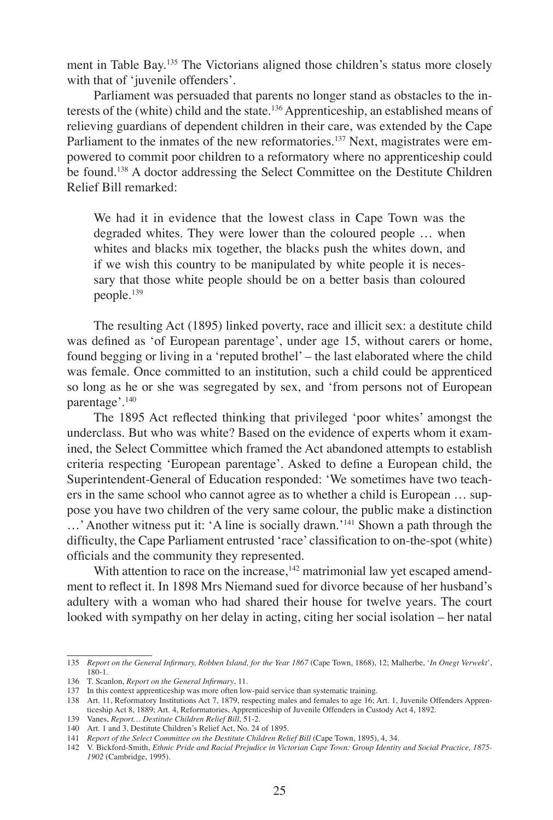ment in Table Bay.135 The Victorians aligned those children's status more closely with that of 'juvenile offenders'.

Parliament was persuaded that parents no longer stand as obstacles to the interests of the (white) child and the state.136 Apprenticeship, an established means of relieving guardians of dependent children in their care, was extended by the Cape Parliament to the inmates of the new reformatories.<sup>137</sup> Next, magistrates were empowered to commit poor children to a reformatory where no apprenticeship could be found.138 A doctor addressing the Select Committee on the Destitute Children Relief Bill remarked:

We had it in evidence that the lowest class in Cape Town was the degraded whites. They were lower than the coloured people … when whites and blacks mix together, the blacks push the whites down, and if we wish this country to be manipulated by white people it is necessary that those white people should be on a better basis than coloured people.<sup>139</sup>

The resulting Act (1895) linked poverty, race and illicit sex: a destitute child was defined as 'of European parentage', under age 15, without carers or home, found begging or living in a 'reputed brothel' – the last elaborated where the child was female. Once committed to an institution, such a child could be apprenticed so long as he or she was segregated by sex, and 'from persons not of European parentage'.<sup>140</sup>

The 1895 Act reflected thinking that privileged 'poor whites' amongst the underclass. But who was white? Based on the evidence of experts whom it examined, the Select Committee which framed the Act abandoned attempts to establish criteria respecting 'European parentage'. Asked to define a European child, the Superintendent-General of Education responded: 'We sometimes have two teachers in the same school who cannot agree as to whether a child is European … suppose you have two children of the very same colour, the public make a distinction ...' Another witness put it: 'A line is socially drawn.'<sup>141</sup> Shown a path through the difficulty, the Cape Parliament entrusted 'race' classification to on-the-spot (white) officials and the community they represented.

With attention to race on the increase, $142$  matrimonial law yet escaped amendment to reflect it. In 1898 Mrs Niemand sued for divorce because of her husband's adultery with a woman who had shared their house for twelve years. The court looked with sympathy on her delay in acting, citing her social isolation – her natal

<sup>135</sup> *Report on the General Infirmary, Robben Island, for the Year 1867* (Cape Town, 1868), 12; Malherbe, '*In Onegt Verwekt*', 180-1.

<sup>136</sup> T. Scanlon, *Report on the General Infirmary*, 11.

<sup>137</sup> In this context apprenticeship was more often low-paid service than systematic training.

<sup>138</sup> Art. 11, Reformatory Institutions Act 7, 1879, respecting males and females to age 16; Art. 1, Juvenile Offenders Apprenticeship Act 8, 1889; Art. 4, Reformatories, Apprenticeship of Juvenile Offenders in Custody Act 4, 1892.

<sup>139</sup> Vanes, *Report… Destitute Children Relief Bill*, 51-2.

<sup>140</sup> Art. 1 and 3, Destitute Children's Relief Act, No. 24 of 1895.

<sup>141</sup> *Report of the Select Committee on the Destitute Children Relief Bill* (Cape Town, 1895), 4, 34.

<sup>142</sup> V. Bickford-Smith, *Ethnic Pride and Racial Prejudice in Victorian Cape Town: Group Identity and Social Practice, 1875- 1902* (Cambridge, 1995).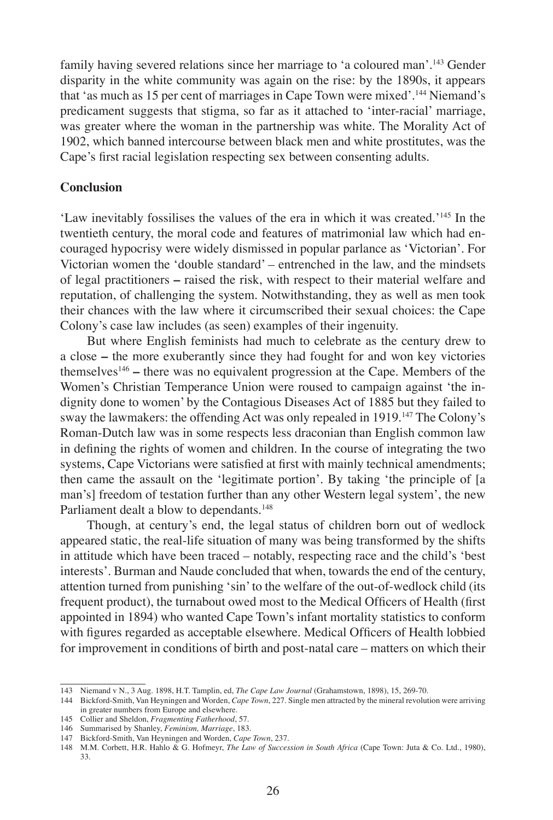family having severed relations since her marriage to 'a coloured man'.143 Gender disparity in the white community was again on the rise: by the 1890s, it appears that 'as much as 15 per cent of marriages in Cape Town were mixed'.<sup>144</sup> Niemand's predicament suggests that stigma, so far as it attached to 'inter-racial' marriage, was greater where the woman in the partnership was white. The Morality Act of 1902, which banned intercourse between black men and white prostitutes, was the Cape's first racial legislation respecting sex between consenting adults.

#### **Conclusion**

'Law inevitably fossilises the values of the era in which it was created.'145 In the twentieth century, the moral code and features of matrimonial law which had encouraged hypocrisy were widely dismissed in popular parlance as 'Victorian'. For Victorian women the 'double standard' – entrenched in the law, and the mindsets of legal practitioners **–** raised the risk, with respect to their material welfare and reputation, of challenging the system. Notwithstanding, they as well as men took their chances with the law where it circumscribed their sexual choices: the Cape Colony's case law includes (as seen) examples of their ingenuity.

But where English feminists had much to celebrate as the century drew to a close **–** the more exuberantly since they had fought for and won key victories themselves146 **–** there was no equivalent progression at the Cape. Members of the Women's Christian Temperance Union were roused to campaign against 'the indignity done to women' by the Contagious Diseases Act of 1885 but they failed to sway the lawmakers: the offending Act was only repealed in 1919.<sup>147</sup> The Colony's Roman-Dutch law was in some respects less draconian than English common law in defining the rights of women and children. In the course of integrating the two systems, Cape Victorians were satisfied at first with mainly technical amendments; then came the assault on the 'legitimate portion'. By taking 'the principle of [a man's] freedom of testation further than any other Western legal system', the new Parliament dealt a blow to dependants.<sup>148</sup>

Though, at century's end, the legal status of children born out of wedlock appeared static, the real-life situation of many was being transformed by the shifts in attitude which have been traced – notably, respecting race and the child's 'best interests'. Burman and Naude concluded that when, towards the end of the century, attention turned from punishing 'sin' to the welfare of the out-of-wedlock child (its frequent product), the turnabout owed most to the Medical Officers of Health (first appointed in 1894) who wanted Cape Town's infant mortality statistics to conform with figures regarded as acceptable elsewhere. Medical Officers of Health lobbied for improvement in conditions of birth and post-natal care – matters on which their

<sup>143</sup> Niemand v N., 3 Aug. 1898, H.T. Tamplin, ed, *The Cape Law Journal* (Grahamstown, 1898), 15, 269-70.

<sup>144</sup> Bickford-Smith, Van Heyningen and Worden, *Cape Town*, 227. Single men attracted by the mineral revolution were arriving in greater numbers from Europe and elsewhere.

<sup>145</sup> Collier and Sheldon, *Fragmenting Fatherhood*, 57.

<sup>146</sup> Summarised by Shanley, *Feminism, Marriage*, 183.

<sup>147</sup> Bickford-Smith, Van Heyningen and Worden, *Cape Town*, 237.

<sup>148</sup> M.M. Corbett, H.R. Hahlo & G. Hofmeyr, *The Law of Succession in South Africa* (Cape Town: Juta & Co. Ltd., 1980), 33.